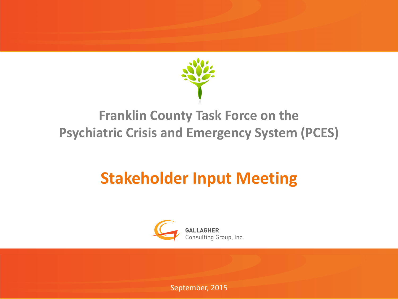

### **Franklin County Task Force on the Psychiatric Crisis and Emergency System (PCES)**

### **Stakeholder Input Meeting**



September, 2015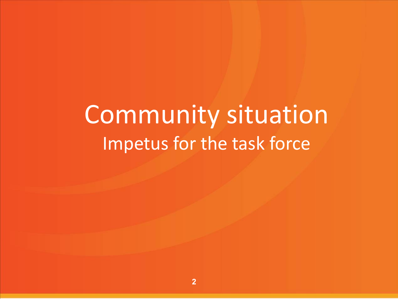# Community situation Impetus for the task force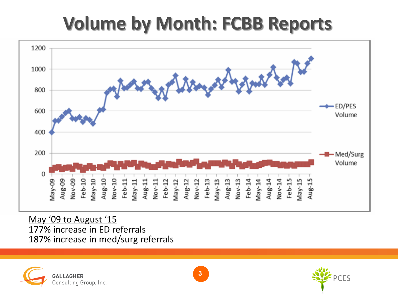### **Volume by Month: FCBB Reports**



May '09 to August '15 177% increase in ED referrals 187% increase in med/surg referrals





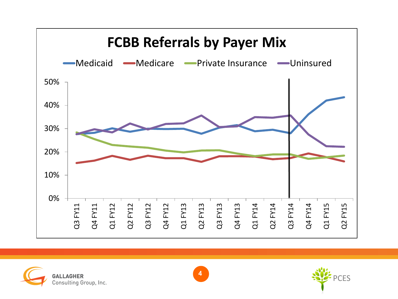





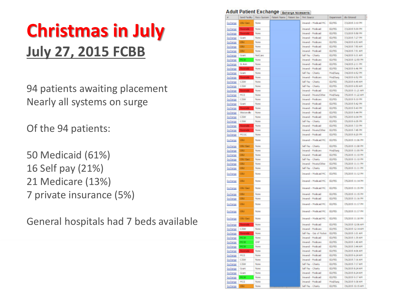### **Christmas in July July 27, 2015 FCBB**

94 patients awaiting placement Nearly all systems on surge

Of the 94 patients:

50 Medicaid (61%) 16 Self pay (21%) 21 Medicare (13%) 7 private insurance (5%)

General hospitals had 7 beds available

#### **Adult Patient Exchange Bichange Adolescents**

| F.              | Send Facility     | Racy System  | Waart 5 |
|-----------------|-------------------|--------------|---------|
| buhanga         | OSU East          | None         |         |
| <b>Juchange</b> | <b>Receively</b>  | None         |         |
| buhango         |                   | None         |         |
| <b>Schange</b>  | Gunt              | None         |         |
| buhango         |                   | None         |         |
| ischange        |                   | None         |         |
| <b>Achange</b>  |                   | None         |         |
| schange         | Gaint             | NotCard      |         |
| <b>Suchange</b> | MCVI              | None         |         |
| change          | St Ann            | None         |         |
| <b>Schange</b>  | kvansk l          | None         |         |
| <b>Jachango</b> | <b>Grant</b>      | None         |         |
| <b>Sechange</b> | Roominder.        | None         |         |
| ischange        | CBW               | None         |         |
| buhanga         | CISW              | None         |         |
| <b>Schange</b>  |                   | None         |         |
| buhanga         | MCE               | None         |         |
| <b>Suchange</b> | CISM              | None         |         |
| achango         | Gaint             | None         |         |
| buhanga         | Rwasaki           | None         |         |
| <b>Scharge</b>  | Wastervike        | None         |         |
| <b>Suthango</b> | CBW               | None         |         |
| <b>Schange</b>  | CISW              | None         |         |
| achange         | <b>United</b>     | None<br>None |         |
| schange         | MCGC              | None         |         |
| ischange        |                   |              |         |
| <b>Suchange</b> | LED.              | None         |         |
| iki Pungo       | <b>OSU East</b>   | None         |         |
| <b>Suchange</b> | œU                | None         |         |
| <b>Surfamps</b> | CSU <sup>T</sup>  | None         |         |
| is:Puingo       | OSU East          | None         |         |
| schange         | œU                | None         |         |
| achango         | 080               | None         |         |
| <b>Suchange</b> | <b>OSU</b>        | None         |         |
|                 | --<br><b>CELL</b> | None         |         |
| buhango         | المستنبذة         |              |         |
| in hange        | <b>OSU East</b>   | None         |         |
| <b>Suchange</b> | أتتبع             | None         |         |
| <b>Schange</b>  | <b>GSU</b>        | None         |         |
|                 | --<br><b>GSU</b>  | None         |         |
| <b>Suchange</b> | ٠                 |              |         |
| <b>Jackango</b> | <b>GSU</b>        | None         |         |
|                 | ـــ               |              |         |
| <b>Schange</b>  | <b>OSU East</b>   | None         |         |
| bichángo        |                   | None         |         |
| <b>Schange</b>  | CISW              | None         |         |
| buhango         | Rowanse           | None         |         |
| ischange        |                   | None         |         |
| achange         | --                | OΨ           |         |
| <b>Suchange</b> |                   | None         |         |
| <b>Schange</b>  |                   | None         |         |
| buhanga         | MCE               | None         |         |
| <b>Suchange</b> | CISW              | None         |         |
| achango         | CISM              | None         |         |
| bichange        | Grant             | None         |         |
| ischange        | Guit              | Norse        |         |
| buthango        | <b>MCVI</b>       | None         |         |
| <b>Schange</b>  | MCE               | None         |         |

| <b>CSOX</b> | Pret Source                                   | Department                | die Ertered                            |
|-------------|-----------------------------------------------|---------------------------|----------------------------------------|
|             | Interiol - Medicaid MC                        | <b>ED/PES</b>             | 7/3/2015 3:10 PM                       |
|             | Insured - Medicaid                            | <b>BD/PES</b>             | 7/3/2015 S.09 PM                       |
|             | Insured - Medicaid                            | ED/PES                    | 7/3/2015 S.Sit PM                      |
|             | Insured - Medicaid                            | <b>ED/PES</b>             | 7/3/2015 7:27 PM                       |
|             | Insured - Medicare                            | ED/PES                    | 7/4/2015 6:53 AM                       |
|             | Insurad - Medicaid                            | <b>ED/PES</b>             | 7/4/2015 7:50 AM                       |
|             | Insured - Medicard                            | <b>ED/PES</b>             | 7/4/2015 7:51 AM                       |
|             | Sif Pay - Charty                              | <b>ED/PES</b>             | 7/4/2015 9:31 AM                       |
|             | Insurad - Madicare                            | <b>ED/PES</b>             | 7/4/2015 12:59 PM                      |
|             | Insured - Medicard                            | ED/PES                    | 7/4/2015 2:11 PM                       |
|             | Insurad - Madicaid                            | <b>ED/PES</b>             | 7/4/2015 6:46 PM                       |
|             | Saf Rw - Charty                               | Mid/Surg                  | 7/4/2015 6:52 PM                       |
|             | Insurat - Madicare                            | Med/Surg                  | 7/4/2015 6:52 PM                       |
|             | Sof Pay - Charly                              | <b>ED/PES</b>             | 7/5/2015 6:40 AM                       |
|             | Saf Pay - Charty                              | ED/PES                    | 7/5/2015 6:50 AM                       |
|             | Insured - Medicaid                            | <b>ED/PES</b>             | 7/5/2015 11:21 AM                      |
|             | Insurad - Privata/Other                       | Mad/Surg                  | 7/5/2015 11:22 AM                      |
|             | Insurad - Madicare                            | <b>ED/PES</b>             | 7/5/2015 5:10 PM                       |
|             | Insured - Medicad                             | <b>BD/PBS</b>             | 7/5/2015 S.42 PM                       |
|             | Insured - Medicard                            | ED/PES                    | 7/5/2015 5:43 PM                       |
|             | Insured - Medicaid                            | ED/PES                    | 7/5/2015 S.44 PM                       |
|             | Insured - Medicald                            | ED/PES                    | 7/5/2015 6:04 PM                       |
|             | Sof Pay - Charity                             | <b>ED/PES</b>             | 7/5/2015 6:05 PM                       |
|             | Insured - Medicard                            | <b>ED/PES</b>             | 7/6/2015 7:33 PM                       |
|             | Insurad - Privata/Other                       | <b>ED/PES</b>             | 7/5/2015 7:45 PM<br>7/5/2015 8:20 PM   |
|             | Insured - Medicaid                            | <b>BD/PES</b>             |                                        |
|             | Insured - Medicald MC                         | ED/PES                    | 7/5/2015 11:06 PM                      |
|             | Saf Pay - Charly                              | <b>BD/PBS</b>             | 7/5/2015 11:08 PM                      |
|             | Insurad - Madicana<br>Insured - Medicad       | Med/Surg<br><b>ED/PES</b> | 7/5/2015 11:09 PM<br>7/5/2015 11:10 PM |
|             | Saf Pay - Charity                             | ED/PES                    | 7/5/2015 11:10 PM                      |
|             | Insured - Private/Other                       | <b>ED/PES</b>             | 7/5/2015 11:11 PM                      |
|             | Sof Pay - Charly                              | <b>ED/PES</b>             | 7/5/2015 11:11 PM                      |
|             | Insurad - Madicaid MC                         | <b>ED/PES</b>             | 7/5/2015 11:12 PM                      |
|             | Integritd - Medicald MC                       | ED/PES                    | 2/6/2015 11:14 PM                      |
|             | Insured - Medicard MC                         | <b>ED/PES</b>             | 7/5/2015 11:15 PM                      |
|             | Insured - Medicaid                            | <b>ED/PES</b>             | 7/5/2015 11:15 PM                      |
|             | Insured - Medicad                             | <b>BD/PES</b>             | 7/5/2015 11:16 PM                      |
|             |                                               |                           |                                        |
|             | Insured - Medicald MC                         | ED/PES                    | 7/5/2015 11:17 PM                      |
|             | Insured - Medicad MC                          | <b>ED/PES</b>             | 7/6/2015 11:17 PM                      |
|             | Insured - Medicaid MC                         | <b>BD/PES</b>             | 7/5/2015 11:18 PM                      |
|             | Insurat - Madicaid                            | ED/PES                    | 7/6/2015 12:06 AM                      |
|             | Insurad - Madicare                            | <b>BD/PES</b>             | 7/6/2015 12:14 AM                      |
|             | Saf Pay - Out of Pocket<br>Insurad - Madicaid | ED/PES<br>ED/PES          | 7/6/2015 1:01 AM<br>7/6/2015 1-30 AM   |
|             | Insured - Medicare                            | <b>ED/PES</b>             | 7/6/2015 1:40 AM                       |
|             | Insurad - Madicaid                            | ED/PES                    | 7/6/2015 3:44 AM                       |
|             | Insured - Medicald                            | <b>ED/PES</b>             | 7/6/2015 4:06 AM                       |
|             | Insurad - Madcad                              | ED/PES                    | 7/6/2015 6:24 AM                       |
|             | Insured - Medicaid                            | <b>ED/PES</b>             | 7/6/2015 7:16 AM                       |
|             | Saf Pay - Charly                              | ED/PES                    | 7/6/2015 7:17 AM                       |
|             | Saf Pay - Charty                              | <b>ED/PES</b>             | 7/6/2015 8:24 AM                       |
|             | Insured - Medicald                            | <b>BD/PES</b>             | 7/6/2015 8:24 AM                       |
|             | Insured - Medicard                            | ED/PES                    | 7/6/2015 0:17 AM                       |
|             | Insurad - Madicaid                            | Med/Surg                  | 7/6/2015 9:38 AM                       |
|             | fail Ray - Chi                                |                           | <b>/2015 10:15 A/</b>                  |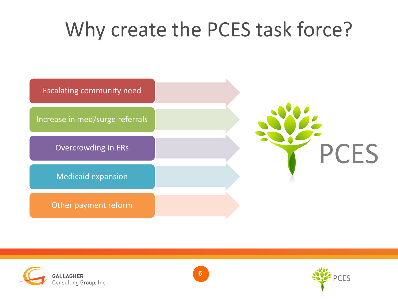### Why create the PCES task force?







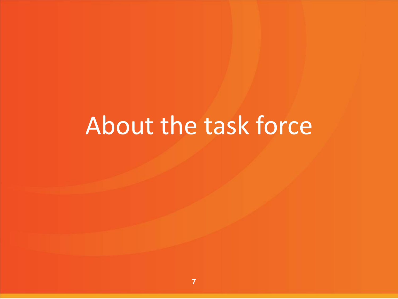# About the task force

**7**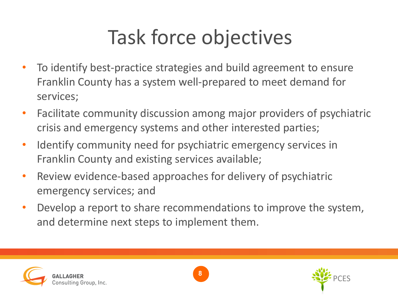# Task force objectives

- To identify best-practice strategies and build agreement to ensure Franklin County has a system well-prepared to meet demand for services;
- Facilitate community discussion among major providers of psychiatric crisis and emergency systems and other interested parties;
- Identify community need for psychiatric emergency services in Franklin County and existing services available;
- Review evidence-based approaches for delivery of psychiatric emergency services; and
- Develop a report to share recommendations to improve the system, and determine next steps to implement them.





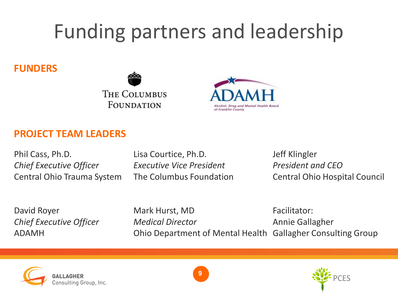# Funding partners and leadership

#### **FUNDERS**





#### **PROJECT TEAM LEADERS**

Phil Cass, Ph.D. Lisa Courtice, Ph.D. Jeff Klingler *Chief Executive Officer Executive Vice President President and CEO*

Central Ohio Trauma System The Columbus Foundation Central Ohio Hospital Council

David Royer **Mark Hurst, MD** Facilitator: *Chief Executive Officer Medical Director* Annie Gallagher ADAMH Ohio Department of Mental Health Gallagher Consulting Group





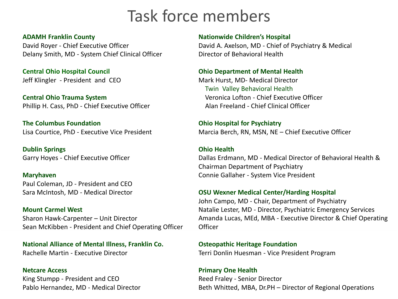### Task force members

#### **ADAMH Franklin County**

David Royer - Chief Executive Officer Delany Smith, MD - System Chief Clinical Officer

**Central Ohio Hospital Council** Jeff Klingler - President and CEO

**Central Ohio Trauma System** Phillip H. Cass, PhD - Chief Executive Officer

**The Columbus Foundation** Lisa Courtice, PhD - Executive Vice President

**Dublin Springs** Garry Hoyes - Chief Executive Officer

**Maryhaven** Paul Coleman, JD - President and CEO Sara McIntosh, MD - Medical Director

**Mount Carmel West** Sharon Hawk-Carpenter – Unit Director Sean McKibben - President and Chief Operating Officer

**National Alliance of Mental Illness, Franklin Co.** Rachelle Martin - Executive Director

### **Netcare Access**

King Stumpp - President and CEO Pablo Hernandez, MD - Medical Director

#### **Nationwide Children's Hospital**

David A. Axelson, MD - Chief of Psychiatry & Medical Director of Behavioral Health

#### **Ohio Department of Mental Health**

Mark Hurst, MD- Medical Director Twin Valley Behavioral Health Veronica Lofton - Chief Executive Officer Alan Freeland - Chief Clinical Officer

**Ohio Hospital for Psychiatry**  Marcia Berch, RN, MSN, NE – Chief Executive Officer

#### **Ohio Health**

Dallas Erdmann, MD - Medical Director of Behavioral Health & Chairman Department of Psychiatry Connie Gallaher - System Vice President

#### **OSU Wexner Medical Center/Harding Hospital**

John Campo, MD - Chair, Department of Psychiatry Natalie Lester, MD - Director, Psychiatric Emergency Services Amanda Lucas, MEd, MBA - Executive Director & Chief Operating **Officer** 

#### **Osteopathic Heritage Foundation**

Terri Donlin Huesman - Vice President Program

#### **Primary One Health**

Reed Fraley - Senior Director Beth Whitted, MBA, Dr.PH – Director of Regional Operations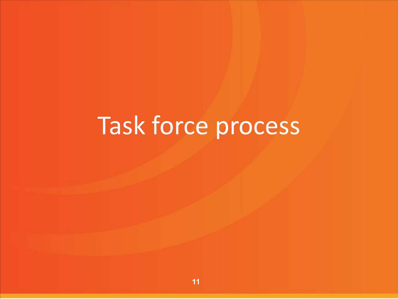# Task force process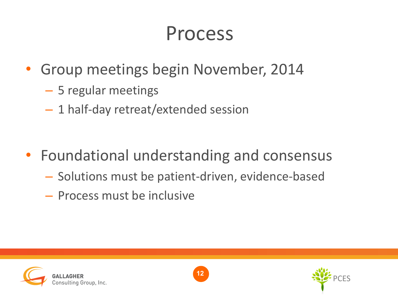- Group meetings begin November, 2014
	- 5 regular meetings
	- 1 half-day retreat/extended session
- Foundational understanding and consensus
	- Solutions must be patient-driven, evidence-based
	- Process must be inclusive





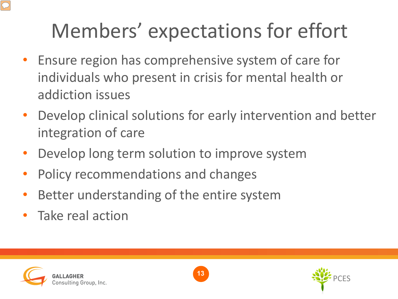# Members' expectations for effort

- Ensure region has comprehensive system of care for individuals who present in crisis for mental health or addiction issues
- Develop clinical solutions for early intervention and better integration of care
- Develop long term solution to improve system
- Policy recommendations and changes
- Better understanding of the entire system
- Take real action





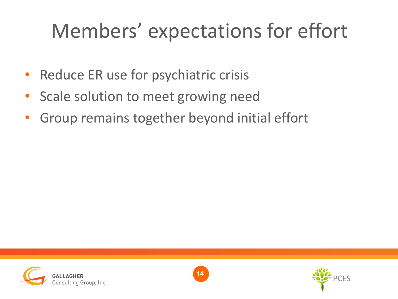### Members' expectations for effort

- Reduce ER use for psychiatric crisis
- Scale solution to meet growing need
- Group remains together beyond initial effort





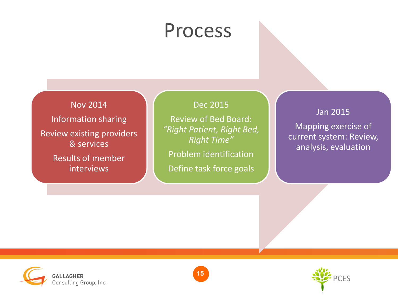Nov 2014 Information sharing Review existing providers & services Results of member interviews

#### Dec 2015

Review of Bed Board: *"Right Patient, Right Bed, Right Time"*

Problem identification

Define task force goals

#### Jan 2015

Mapping exercise of current system: Review, analysis, evaluation





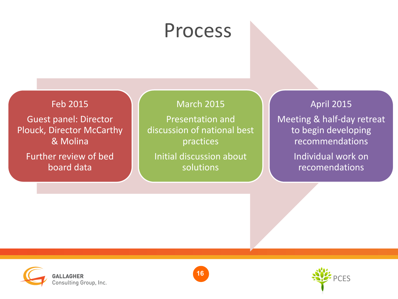Feb 2015

Guest panel: Director Plouck, Director McCarthy & Molina

Further review of bed board data

#### March 2015

Presentation and discussion of national best practices

Initial discussion about solutions

#### April 2015

Meeting & half-day retreat to begin developing recommendations

> Individual work on recomendations





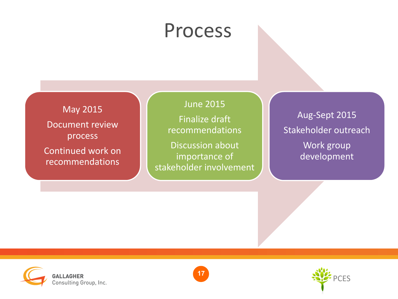May 2015 Document review process

Continued work on recommendations

#### June 2015

Finalize draft recommendations

Discussion about importance of stakeholder involvement

Aug-Sept 2015 Stakeholder outreach Work group development





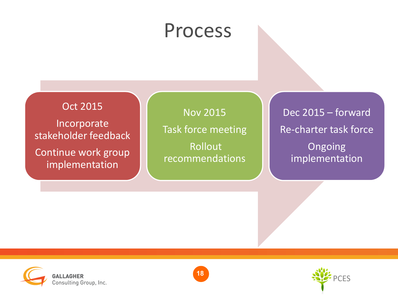Oct 2015

Incorporate stakeholder feedback

Continue work group implementation

Nov 2015 Task force meeting Rollout recommendations

Dec 2015 – forward Re-charter task force Ongoing implementation





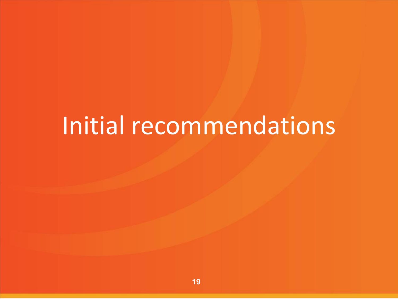# Initial recommendations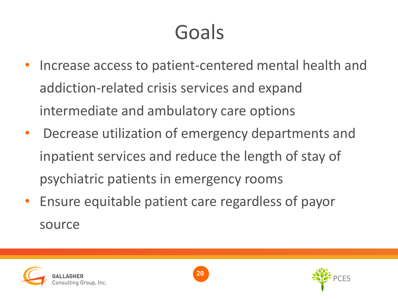# Goals

- Increase access to patient-centered mental health and addiction-related crisis services and expand intermediate and ambulatory care options
- Decrease utilization of emergency departments and inpatient services and reduce the length of stay of psychiatric patients in emergency rooms
- Ensure equitable patient care regardless of payor source





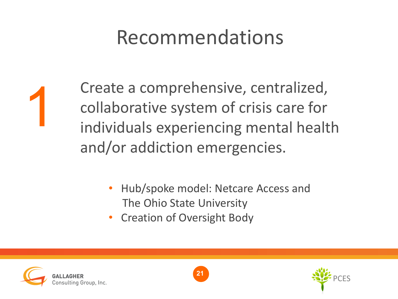### Recommendations



Create a comprehensive, centralized, collaborative system of crisis care for individuals experiencing mental health and/or addiction emergencies.

- Hub/spoke model: Netcare Access and The Ohio State University
- Creation of Oversight Body





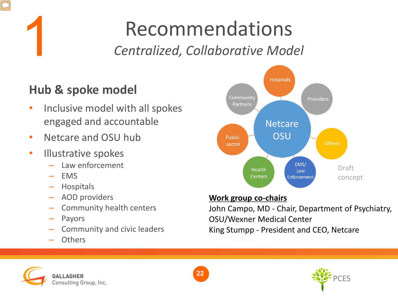# 1

### Recommendations *Centralized, Collaborative Model*

### **Hub & spoke model**

- Inclusive model with all spokes engaged and accountable
- Netcare and OSU hub
- Illustrative spokes
	- Law enforcement
	- EMS
	- Hospitals
	- AOD providers
	- Community health centers
	- Payors
	- Community and civic leaders
	- **Others**



#### **Work group co-chairs**

John Campo, MD - Chair, Department of Psychiatry, OSU/Wexner Medical Center King Stumpp - President and CEO, Netcare





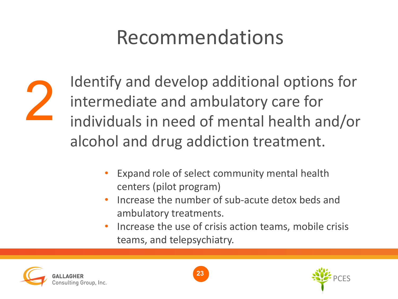### Recommendations



Identify and develop additional options for intermediate and ambulatory care for individuals in need of mental health and/or alcohol and drug addiction treatment.

- Expand role of select community mental health centers (pilot program)
- Increase the number of sub-acute detox beds and ambulatory treatments.
- Increase the use of crisis action teams, mobile crisis teams, and telepsychiatry.





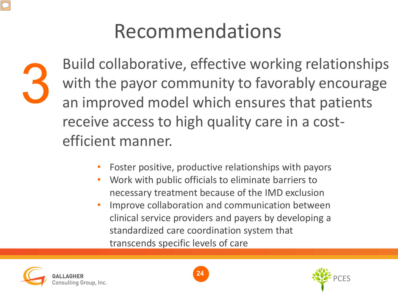



Build collaborative, effective working relationships with the payor community to favorably encourage an improved model which ensures that patients receive access to high quality care in a costefficient manner.

- Foster positive, productive relationships with payors
- Work with public officials to eliminate barriers to necessary treatment because of the IMD exclusion
- Improve collaboration and communication between clinical service providers and payers by developing a standardized care coordination system that transcends specific levels of care





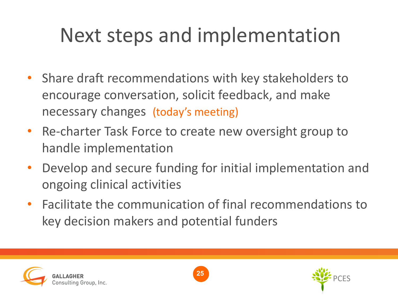# Next steps and implementation

- Share draft recommendations with key stakeholders to encourage conversation, solicit feedback, and make necessary changes (today's meeting)
- Re-charter Task Force to create new oversight group to handle implementation
- Develop and secure funding for initial implementation and ongoing clinical activities
- Facilitate the communication of final recommendations to key decision makers and potential funders





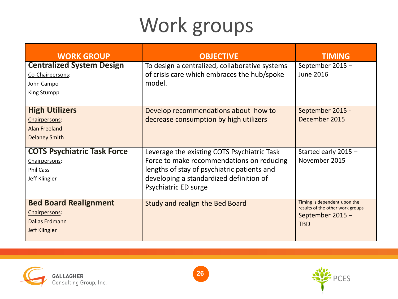# Work groups

| <b>WORK GROUP</b>                  | <b>OBJECTIVE</b>                               | <b>TIMING</b>                                                    |
|------------------------------------|------------------------------------------------|------------------------------------------------------------------|
| <b>Centralized System Design</b>   | To design a centralized, collaborative systems | September 2015-                                                  |
| Co-Chairpersons:                   | of crisis care which embraces the hub/spoke    | June 2016                                                        |
| John Campo                         | model.                                         |                                                                  |
| <b>King Stumpp</b>                 |                                                |                                                                  |
|                                    |                                                |                                                                  |
| <b>High Utilizers</b>              | Develop recommendations about how to           | September 2015 -                                                 |
| Chairpersons:                      | decrease consumption by high utilizers         | December 2015                                                    |
| Alan Freeland                      |                                                |                                                                  |
| <b>Delaney Smith</b>               |                                                |                                                                  |
| <b>COTS Psychiatric Task Force</b> | Leverage the existing COTS Psychiatric Task    | Started early 2015 -                                             |
| Chairpersons:                      | Force to make recommendations on reducing      | November 2015                                                    |
| <b>Phil Cass</b>                   | lengths of stay of psychiatric patients and    |                                                                  |
| Jeff Klingler                      | developing a standardized definition of        |                                                                  |
|                                    | Psychiatric ED surge                           |                                                                  |
|                                    |                                                |                                                                  |
| <b>Bed Board Realignment</b>       | Study and realign the Bed Board                | Timing is dependent upon the<br>results of the other work groups |
| Chairpersons:                      |                                                | September 2015-                                                  |
| Dallas Erdmann                     |                                                | <b>TBD</b>                                                       |
| <b>Jeff Klingler</b>               |                                                |                                                                  |
|                                    |                                                |                                                                  |